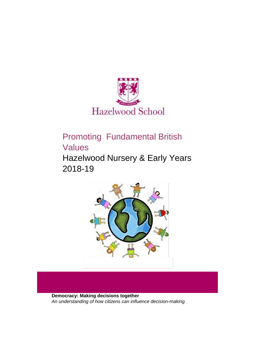

# Promoting Fundamental British Values

Hazelwood Nursery & Early Years 2018-19



**Democracy: Making decisions together**  *An understanding of how citizens can influence decision-making*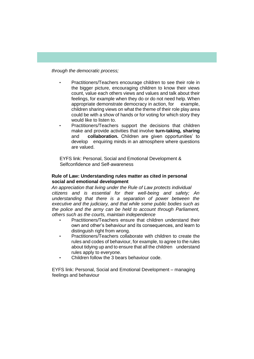*through the democratic process;*

- Practitioners/Teachers encourage children to see their role in the bigger picture, encouraging children to know their views count, value each others views and values and talk about their feelings, for example when they do or do not need help. When appropriate demonstrate democracy in action, for example, children sharing views on what the theme of their role play area could be with a show of hands or for voting for which story they would like to listen to.
	- Practitioners/Teachers support the decisions that children make and provide activities that involve **turn-taking, sharing**  and **collaboration.** Children are given opportunities' to develop enquiring minds in an atmosphere where questions are valued.

EYFS link: Personal, Social and Emotional Development & Selfconfidence and Self-awareness

#### **Rule of Law: Understanding rules matter as cited in personal social and emotional development**

*An appreciation that living under the Rule of Law protects individual citizens and is essential for their well-being and safety; An understanding that there is a separation of power between the executive and the judiciary, and that while some public bodies such as the police and the army can be held to account through Parliament, others such as the courts, maintain independence* 

- Practitioners/Teachers ensure that children understand their own and other's behaviour and its consequences, and learn to distinguish right from wrong.
- Practitioners/Teachers collaborate with children to create the rules and codes of behaviour, for example, to agree to the rules about tidying up and to ensure that all the children understand rules apply to everyone.
- Children follow the 3 bears behaviour code.

EYFS link: Personal, Social and Emotional Development – managing feelings and behaviour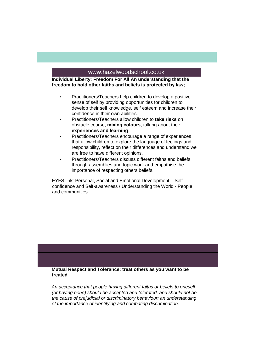## www.hazelwoodschool.co.uk

**Individual Liberty: Freedom For All An understanding that the freedom to hold other faiths and beliefs is protected by law;** 

- Practitioners/Teachers help children to develop a positive sense of self by providing opportunities for children to develop their self knowledge, self esteem and increase their confidence in their own abilities.
- Practitioners/Teachers allow children to **take risks** on obstacle course, **mixing colours**, talking about their **experiences and learning**.
- Practitioners/Teachers encourage a range of experiences that allow children to explore the language of feelings and responsibility, reflect on their differences and understand we are free to have different opinions.
- Practitioners/Teachers discuss different faiths and beliefs through assemblies and topic work and empathise the importance of respecting others beliefs.

EYFS link: Personal, Social and Emotional Development – Selfconfidence and Self-awareness / Understanding the World - People and communities

**Mutual Respect and Tolerance: treat others as you want to be treated** 

*An acceptance that people having different faiths or beliefs to oneself (or having none) should be accepted and tolerated, and should not be the cause of prejudicial or discriminatory behaviour; an understanding of the importance of identifying and combating discrimination.*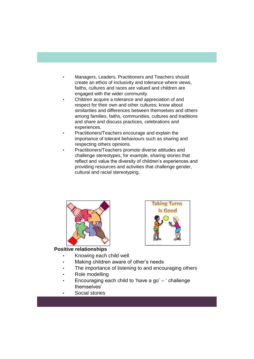- Managers, Leaders, Practitioners and Teachers should create an ethos of inclusivity and tolerance where views, faiths, cultures and races are valued and children are engaged with the wider community.
- Children acquire a tolerance and appreciation of and respect for their own and other cultures; know about similarities and differences between themselves and others among families, faiths, communities, cultures and traditions and share and discuss practices, celebrations and experiences.
- Practitioners/Teachers encourage and explain the importance of tolerant behaviours such as sharing and respecting others opinions.
- Practitioners/Teachers promote diverse attitudes and challenge stereotypes, for example, sharing stories that reflect and value the diversity of children's experiences and providing resources and activities that challenge gender, cultural and racial stereotyping.





# **Positive relationships**

- Knowing each child well
- Making children aware of other's needs
- The importance of listening to and encouraging others
- Role modelling
- Encouraging each child to 'have a go'  $-$  ' challenge themselves'
- Social stories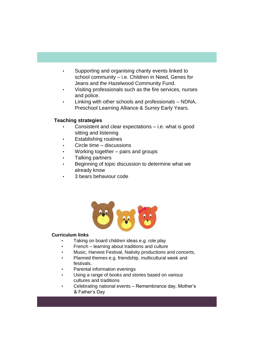- Supporting and organising charity events linked to school community – i.e. Children in Need, Genes for Jeans and the Hazelwood Community Fund.
- Visiting professionals such as the fire services, nurses and police.
- Linking with other schools and professionals NDNA, Preschool Learning Alliance & Surrey Early Years.

## **Teaching strategies**

- Consistent and clear expectations i.e. what is good sitting and listening
- **Establishing routines**
- Circle time discussions
- Working together pairs and groups
- Talking partners
- Beginning of topic discussion to determine what we already know
- 3 bears behaviour code



## **Curriculum links**

- Taking on board children ideas e.g. role play
- French learning about traditions and culture
- Music, Harvest Festival, Nativity productions and concerts,
- Planned themes e.g. friendship, multicultural week and festivals.
- Parental information evenings
- Using a range of books and stories based on various cultures and traditions
- Celebrating national events Remembrance day, Mother's & Father's Day